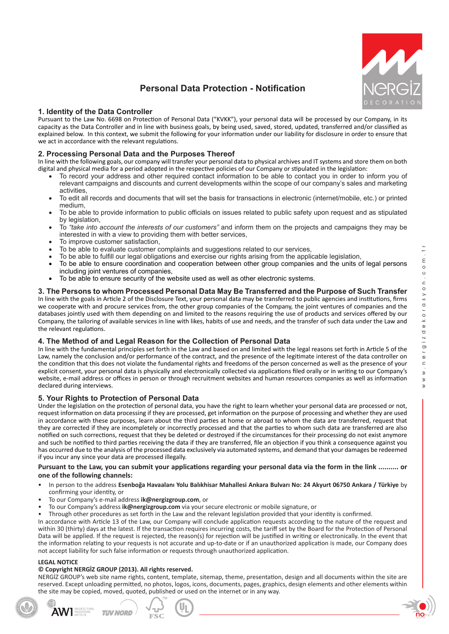

# **Personal Data Protection - Notification**

# **1. Identity of the Data Controller**

Pursuant to the Law No. 6698 on Protection of Personal Data ("KVKK"), your personal data will be processed by our Company, in its capacity as the Data Controller and in line with business goals, by being used, saved, stored, updated, transferred and/or classified as explained below. In this context, we submit the following for your information under our liability for disclosure in order to ensure that we act in accordance with the relevant regulations.

## **2. Processing Personal Data and the Purposes Thereof**

In line with the following goals, our company will transfer your personal data to physical archives and IT systems and store them on both digital and physical media for a period adopted in the respective policies of our Company or stipulated in the legislation:

- To record your address and other required contact information to be able to contact you in order to inform you of relevant campaigns and discounts and current developments within the scope of our company's sales and marketing activities,
- To edit all records and documents that will set the basis for transactions in electronic (internet/mobile, etc.) or printed medium,
- To be able to provide information to public officials on issues related to public safety upon request and as stipulated by legislation.
- To *"take into account the interests of our customers"* and inform them on the projects and campaigns they may be interested in with a view to providing them with better services,
- To improve customer satisfaction,
- To be able to evaluate customer complaints and suggestions related to our services,
- To be able to fulfill our legal obligations and exercise our rights arising from the applicable legislation,
- To be able to ensure coordination and cooperation between other group companies and the units of legal persons including joint ventures of companies,
- To be able to ensure security of the website used as well as other electronic systems.

**3. The Persons to whom Processed Personal Data May Be Transferred and the Purpose of Such Transfer** In line with the goals in Article 2 of the Disclosure Text, your personal data may be transferred to public agencies and institutions, firms we cooperate with and procure services from, the other group companies of the Company, the joint ventures of companies and the databases jointly used with them depending on and limited to the reasons requiring the use of products and services offered by our Company, the tailoring of available services in line with likes, habits of use and needs, and the transfer of such data under the Law and the relevant regulations.

### **4. The Method of and Legal Reason for the Collection of Personal Data**

In line with the fundamental principles set forth in the Law and based on and limited with the legal reasons set forth in Article 5 of the Law, namely the conclusion and/or performance of the contract, and the presence of the legitimate interest of the data controller on the condition that this does not violate the fundamental rights and freedoms of the person concerned as well as the presence of your explicit consent, your personal data is physically and electronically collected via applications filed orally or in writing to our Company's website, e-mail address or offices in person or through recruitment websites and human resources companies as well as information declared during interviews.

### **5. Your Rights to Protection of Personal Data**

Under the legislation on the protection of personal data, you have the right to learn whether your personal data are processed or not, request information on data processing if they are processed, get information on the purpose of processing and whether they are used in accordance with these purposes, learn about the third parties at home or abroad to whom the data are transferred, request that they are corrected if they are incompletely or incorrectly processed and that the parties to whom such data are transferred are also notified on such corrections, request that they be deleted or destroyed if the circumstances for their processing do not exist anymore and such be notified to third parties receiving the data if they are transferred, file an objection if you think a consequence against you has occurred due to the analysis of the processed data exclusively via automated systems, and demand that your damages be redeemed if you incur any since your data are processed illegally.

#### **Pursuant to the Law, you can submit your applications regarding your personal data via the form in the link .......... or one of the following channels:**

- In person to the address **Esenboğa Havaalanı Yolu Balıkhisar Mahallesi Ankara Bulvarı No: 24 Akyurt 06750 Ankara / Türkiye** by confirming your identity, or
- To our Company's e-mail address **ik@nergizgroup.com**, or
- To our Company's address **ik@nergizgroup.com** via your secure electronic or mobile signature, or
- Through other procedures as set forth in the Law and the relevant legislation provided that your identity is confirmed.

In accordance with Article 13 of the Law, our Company will conclude application requests according to the nature of the request and within 30 (thirty) days at the latest. If the transaction requires incurring costs, the tariff set by the Board for the Protection of Personal Data will be applied. If the request is rejected, the reason(s) for rejection will be justified in writing or electronically. In the event that the information relating to your requests is not accurate and up-to-date or if an unauthorized application is made, our Company does not accept liability for such false information or requests through unauthorized application.

#### **LEGAL NOTICE**

#### **© Copyright NERGİZ GROUP (2013). All rights reserved.**

**TUV NORD** 

NERGİZ GROUP's web site name rights, content, template, sitemap, theme, presentation, design and all documents within the site are reserved. Except unloading permitted, no photos, logos, icons, documents, pages, graphics, design elements and other elements within the site may be copied, moved, quoted, published or used on the internet or in any way.



 $\frac{1}{1}$ 

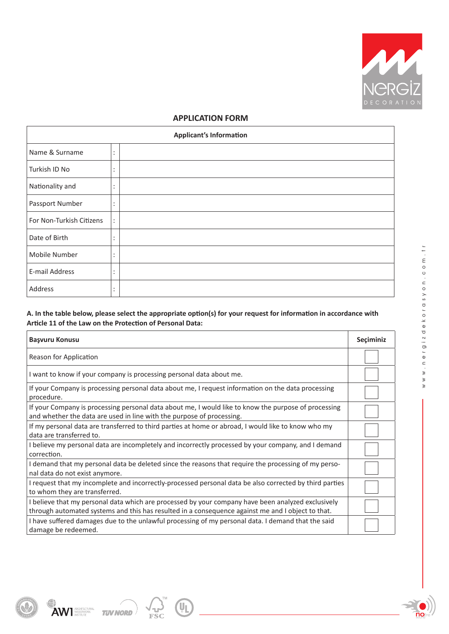

# **APPLICATION FORM**

| <b>Applicant's Information</b> |                      |  |
|--------------------------------|----------------------|--|
| Name & Surname                 | ٠<br>$\bullet$       |  |
| Turkish ID No                  | ٠<br>$\cdot$         |  |
| Nationality and                | ٠<br>٠               |  |
| Passport Number                | ٠<br>٠               |  |
| For Non-Turkish Citizens       | $\ddot{\phantom{a}}$ |  |
| Date of Birth                  | ٠<br>$\blacksquare$  |  |
| Mobile Number                  | ٠<br>$\bullet$       |  |
| E-mail Address                 | ٠<br>$\cdot$         |  |
| Address                        | ٠<br>٠               |  |

# **A. In the table below, please select the appropriate option(s) for your request for information in accordance with Article 11 of the Law on the Protection of Personal Data:**

| Başvuru Konusu                                                                                                                                                                                          | Seçiminiz |  |  |
|---------------------------------------------------------------------------------------------------------------------------------------------------------------------------------------------------------|-----------|--|--|
| Reason for Application                                                                                                                                                                                  |           |  |  |
| I want to know if your company is processing personal data about me.                                                                                                                                    |           |  |  |
| If your Company is processing personal data about me, I request information on the data processing<br>procedure.                                                                                        |           |  |  |
| If your Company is processing personal data about me, I would like to know the purpose of processing<br>and whether the data are used in line with the purpose of processing.                           |           |  |  |
| If my personal data are transferred to third parties at home or abroad, I would like to know who my<br>data are transferred to.                                                                         |           |  |  |
| I believe my personal data are incompletely and incorrectly processed by your company, and I demand<br>correction.                                                                                      |           |  |  |
| I demand that my personal data be deleted since the reasons that require the processing of my perso-<br>nal data do not exist anymore.                                                                  |           |  |  |
| I request that my incomplete and incorrectly-processed personal data be also corrected by third parties<br>to whom they are transferred.                                                                |           |  |  |
| I believe that my personal data which are processed by your company have been analyzed exclusively<br>through automated systems and this has resulted in a consequence against me and I object to that. |           |  |  |
| I have suffered damages due to the unlawful processing of my personal data. I demand that the said<br>damage be redeemed.                                                                               |           |  |  |

 $($